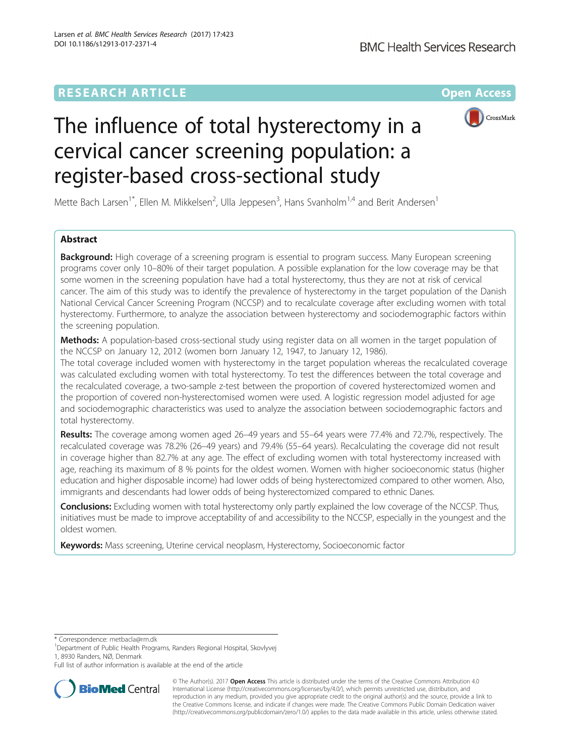## **RESEARCH ARTICLE Example 2014 12:30 The Community Community Community Community Community Community Community**



# The influence of total hysterectomy in a cervical cancer screening population: a register-based cross-sectional study

Mette Bach Larsen<sup>1\*</sup>, Ellen M. Mikkelsen<sup>2</sup>, Ulla Jeppesen<sup>3</sup>, Hans Svanholm<sup>1,4</sup> and Berit Andersen<sup>1</sup>

## Abstract

**Background:** High coverage of a screening program is essential to program success. Many European screening programs cover only 10–80% of their target population. A possible explanation for the low coverage may be that some women in the screening population have had a total hysterectomy, thus they are not at risk of cervical cancer. The aim of this study was to identify the prevalence of hysterectomy in the target population of the Danish National Cervical Cancer Screening Program (NCCSP) and to recalculate coverage after excluding women with total hysterectomy. Furthermore, to analyze the association between hysterectomy and sociodemographic factors within the screening population.

Methods: A population-based cross-sectional study using register data on all women in the target population of the NCCSP on January 12, 2012 (women born January 12, 1947, to January 12, 1986).

The total coverage included women with hysterectomy in the target population whereas the recalculated coverage was calculated excluding women with total hysterectomy. To test the differences between the total coverage and the recalculated coverage, a two-sample z-test between the proportion of covered hysterectomized women and the proportion of covered non-hysterectomised women were used. A logistic regression model adjusted for age and sociodemographic characteristics was used to analyze the association between sociodemographic factors and total hysterectomy.

Results: The coverage among women aged 26–49 years and 55–64 years were 77.4% and 72.7%, respectively. The recalculated coverage was 78.2% (26–49 years) and 79.4% (55–64 years). Recalculating the coverage did not result in coverage higher than 82.7% at any age. The effect of excluding women with total hysterectomy increased with age, reaching its maximum of 8 % points for the oldest women. Women with higher socioeconomic status (higher education and higher disposable income) had lower odds of being hysterectomized compared to other women. Also, immigrants and descendants had lower odds of being hysterectomized compared to ethnic Danes.

**Conclusions:** Excluding women with total hysterectomy only partly explained the low coverage of the NCCSP. Thus, initiatives must be made to improve acceptability of and accessibility to the NCCSP, especially in the youngest and the oldest women.

Keywords: Mass screening, Uterine cervical neoplasm, Hysterectomy, Socioeconomic factor

\* Correspondence: [metbacla@rm.dk](mailto:metbacla@rm.dk) <sup>1</sup>

Department of Public Health Programs, Randers Regional Hospital, Skovlyvej

1, 8930 Randers, NØ, Denmark

Full list of author information is available at the end of the article



© The Author(s). 2017 **Open Access** This article is distributed under the terms of the Creative Commons Attribution 4.0 International License [\(http://creativecommons.org/licenses/by/4.0/](http://creativecommons.org/licenses/by/4.0/)), which permits unrestricted use, distribution, and reproduction in any medium, provided you give appropriate credit to the original author(s) and the source, provide a link to the Creative Commons license, and indicate if changes were made. The Creative Commons Public Domain Dedication waiver [\(http://creativecommons.org/publicdomain/zero/1.0/](http://creativecommons.org/publicdomain/zero/1.0/)) applies to the data made available in this article, unless otherwise stated.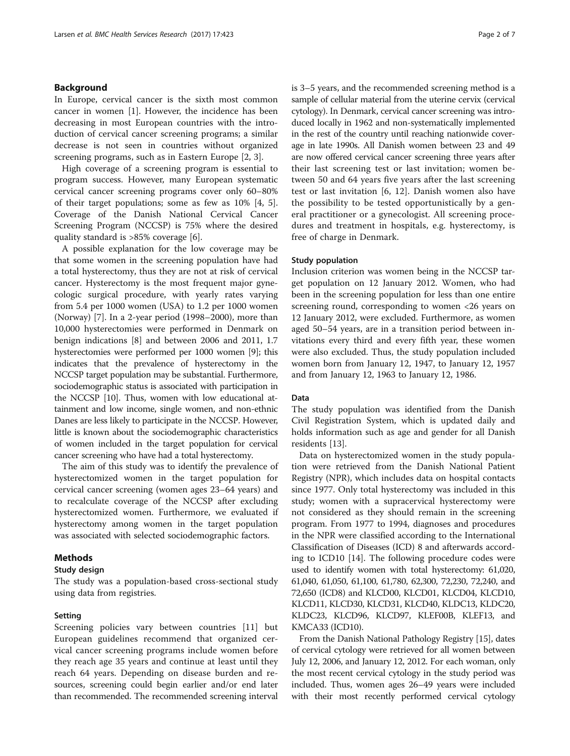## Background

In Europe, cervical cancer is the sixth most common cancer in women [[1\]](#page-6-0). However, the incidence has been decreasing in most European countries with the introduction of cervical cancer screening programs; a similar decrease is not seen in countries without organized screening programs, such as in Eastern Europe [\[2](#page-6-0), [3](#page-6-0)].

High coverage of a screening program is essential to program success. However, many European systematic cervical cancer screening programs cover only 60–80% of their target populations; some as few as 10% [[4, 5](#page-6-0)]. Coverage of the Danish National Cervical Cancer Screening Program (NCCSP) is 75% where the desired quality standard is >85% coverage [\[6](#page-6-0)].

A possible explanation for the low coverage may be that some women in the screening population have had a total hysterectomy, thus they are not at risk of cervical cancer. Hysterectomy is the most frequent major gynecologic surgical procedure, with yearly rates varying from 5.4 per 1000 women (USA) to 1.2 per 1000 women (Norway) [\[7](#page-6-0)]. In a 2-year period (1998–2000), more than 10,000 hysterectomies were performed in Denmark on benign indications [\[8](#page-6-0)] and between 2006 and 2011, 1.7 hysterectomies were performed per 1000 women [[9](#page-6-0)]; this indicates that the prevalence of hysterectomy in the NCCSP target population may be substantial. Furthermore, sociodemographic status is associated with participation in the NCCSP [\[10\]](#page-6-0). Thus, women with low educational attainment and low income, single women, and non-ethnic Danes are less likely to participate in the NCCSP. However, little is known about the sociodemographic characteristics of women included in the target population for cervical cancer screening who have had a total hysterectomy.

The aim of this study was to identify the prevalence of hysterectomized women in the target population for cervical cancer screening (women ages 23–64 years) and to recalculate coverage of the NCCSP after excluding hysterectomized women. Furthermore, we evaluated if hysterectomy among women in the target population was associated with selected sociodemographic factors.

## Methods

### Study design

The study was a population-based cross-sectional study using data from registries.

#### Setting

Screening policies vary between countries [[11\]](#page-6-0) but European guidelines recommend that organized cervical cancer screening programs include women before they reach age 35 years and continue at least until they reach 64 years. Depending on disease burden and resources, screening could begin earlier and/or end later than recommended. The recommended screening interval is 3–5 years, and the recommended screening method is a sample of cellular material from the uterine cervix (cervical cytology). In Denmark, cervical cancer screening was introduced locally in 1962 and non-systematically implemented in the rest of the country until reaching nationwide coverage in late 1990s. All Danish women between 23 and 49 are now offered cervical cancer screening three years after their last screening test or last invitation; women between 50 and 64 years five years after the last screening test or last invitation [[6, 12\]](#page-6-0). Danish women also have the possibility to be tested opportunistically by a general practitioner or a gynecologist. All screening procedures and treatment in hospitals, e.g. hysterectomy, is free of charge in Denmark.

#### Study population

Inclusion criterion was women being in the NCCSP target population on 12 January 2012. Women, who had been in the screening population for less than one entire screening round, corresponding to women <26 years on 12 January 2012, were excluded. Furthermore, as women aged 50–54 years, are in a transition period between invitations every third and every fifth year, these women were also excluded. Thus, the study population included women born from January 12, 1947, to January 12, 1957 and from January 12, 1963 to January 12, 1986.

#### Data

The study population was identified from the Danish Civil Registration System, which is updated daily and holds information such as age and gender for all Danish residents [\[13](#page-6-0)].

Data on hysterectomized women in the study population were retrieved from the Danish National Patient Registry (NPR), which includes data on hospital contacts since 1977. Only total hysterectomy was included in this study; women with a supracervical hysterectomy were not considered as they should remain in the screening program. From 1977 to 1994, diagnoses and procedures in the NPR were classified according to the International Classification of Diseases (ICD) 8 and afterwards according to ICD10 [\[14\]](#page-6-0). The following procedure codes were used to identify women with total hysterectomy: 61,020, 61,040, 61,050, 61,100, 61,780, 62,300, 72,230, 72,240, and 72,650 (ICD8) and KLCD00, KLCD01, KLCD04, KLCD10, KLCD11, KLCD30, KLCD31, KLCD40, KLDC13, KLDC20, KLDC23, KLCD96, KLCD97, KLEF00B, KLEF13, and KMCA33 (ICD10).

From the Danish National Pathology Registry [\[15](#page-6-0)], dates of cervical cytology were retrieved for all women between July 12, 2006, and January 12, 2012. For each woman, only the most recent cervical cytology in the study period was included. Thus, women ages 26–49 years were included with their most recently performed cervical cytology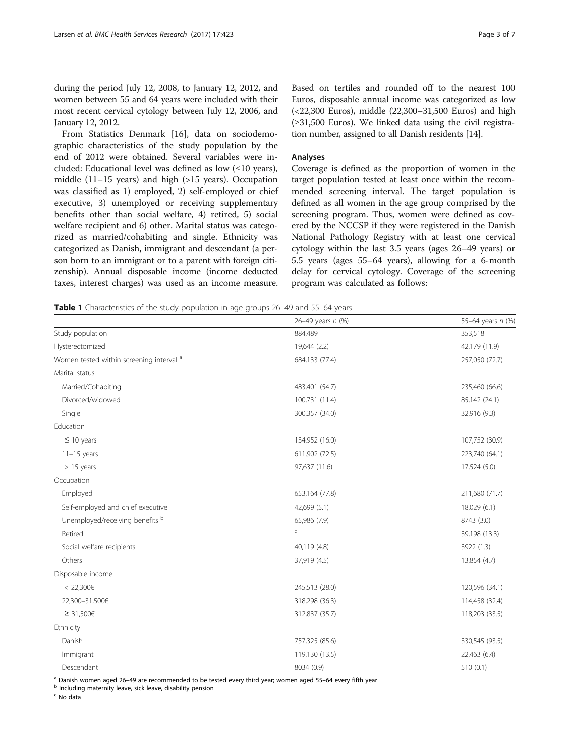<span id="page-2-0"></span>during the period July 12, 2008, to January 12, 2012, and women between 55 and 64 years were included with their most recent cervical cytology between July 12, 2006, and January 12, 2012.

From Statistics Denmark [\[16\]](#page-6-0), data on sociodemographic characteristics of the study population by the end of 2012 were obtained. Several variables were included: Educational level was defined as low  $(\leq 10 \text{ years})$ , middle (11–15 years) and high (>15 years). Occupation was classified as 1) employed, 2) self-employed or chief executive, 3) unemployed or receiving supplementary benefits other than social welfare, 4) retired, 5) social welfare recipient and 6) other. Marital status was categorized as married/cohabiting and single. Ethnicity was categorized as Danish, immigrant and descendant (a person born to an immigrant or to a parent with foreign citizenship). Annual disposable income (income deducted taxes, interest charges) was used as an income measure.

Based on tertiles and rounded off to the nearest 100 Euros, disposable annual income was categorized as low (<22,300 Euros), middle (22,300–31,500 Euros) and high (≥31,500 Euros). We linked data using the civil registration number, assigned to all Danish residents [[14\]](#page-6-0).

## Analyses

Coverage is defined as the proportion of women in the target population tested at least once within the recommended screening interval. The target population is defined as all women in the age group comprised by the screening program. Thus, women were defined as covered by the NCCSP if they were registered in the Danish National Pathology Registry with at least one cervical cytology within the last 3.5 years (ages 26–49 years) or 5.5 years (ages 55–64 years), allowing for a 6-month delay for cervical cytology. Coverage of the screening program was calculated as follows:

Table 1 Characteristics of the study population in age groups 26-49 and 55-64 years

|                                          | 26-49 years n (%) | 55-64 years n (%) |
|------------------------------------------|-------------------|-------------------|
| Study population                         | 884,489           | 353,518           |
| Hysterectomized                          | 19,644 (2.2)      | 42,179 (11.9)     |
| Women tested within screening interval a | 684,133 (77.4)    | 257,050 (72.7)    |
| Marital status                           |                   |                   |
| Married/Cohabiting                       | 483,401 (54.7)    | 235,460 (66.6)    |
| Divorced/widowed                         | 100,731 (11.4)    | 85,142 (24.1)     |
| Single                                   | 300,357 (34.0)    | 32,916 (9.3)      |
| Education                                |                   |                   |
| $\leq$ 10 years                          | 134,952 (16.0)    | 107,752 (30.9)    |
| $11-15$ years                            | 611,902 (72.5)    | 223,740 (64.1)    |
| $> 15$ years                             | 97,637 (11.6)     | 17,524 (5.0)      |
| Occupation                               |                   |                   |
| Employed                                 | 653,164 (77.8)    | 211,680 (71.7)    |
| Self-employed and chief executive        | 42,699 (5.1)      | 18,029 (6.1)      |
| Unemployed/receiving benefits b          | 65,986 (7.9)      | 8743 (3.0)        |
| Retired                                  | $\subset$         | 39,198 (13.3)     |
| Social welfare recipients                | 40,119 (4.8)      | 3922 (1.3)        |
| Others                                   | 37,919 (4.5)      | 13,854 (4.7)      |
| Disposable income                        |                   |                   |
| < 22,300€                                | 245,513 (28.0)    | 120,596 (34.1)    |
| 22,300-31,500€                           | 318,298 (36.3)    | 114,458 (32.4)    |
| ≥ 31,500€                                | 312,837 (35.7)    | 118,203 (33.5)    |
| Ethnicity                                |                   |                   |
| Danish                                   | 757,325 (85.6)    | 330,545 (93.5)    |
| Immigrant                                | 119,130 (13.5)    | 22,463 (6.4)      |
| Descendant                               | 8034 (0.9)        | 510(0.1)          |

<sup>a</sup> Danish women aged 26–49 are recommended to be tested every third year; women aged 55–64 every fifth year b Including maternity leave, sick leave, disability pension

<sup>c</sup> No data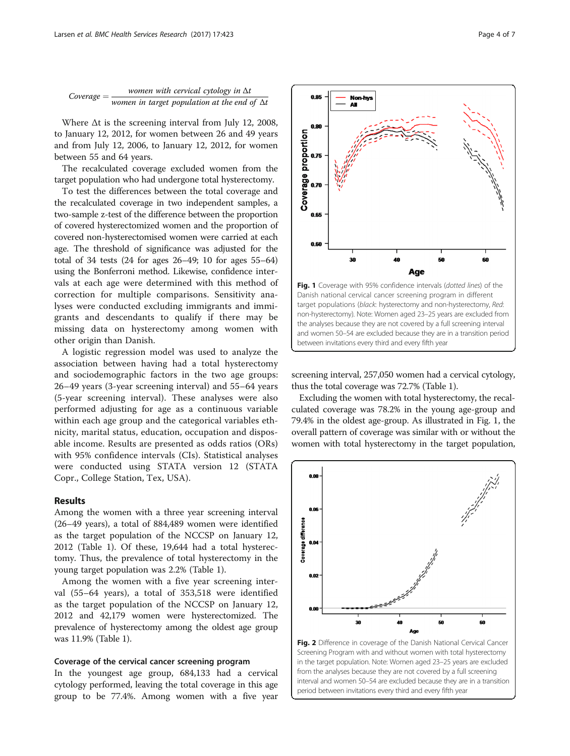<span id="page-3-0"></span>

Where  $\Delta t$  is the screening interval from July 12, 2008, to January 12, 2012, for women between 26 and 49 years and from July 12, 2006, to January 12, 2012, for women between 55 and 64 years.

The recalculated coverage excluded women from the target population who had undergone total hysterectomy.

To test the differences between the total coverage and the recalculated coverage in two independent samples, a two-sample z-test of the difference between the proportion of covered hysterectomized women and the proportion of covered non-hysterectomised women were carried at each age. The threshold of significance was adjusted for the total of 34 tests (24 for ages 26–49; 10 for ages 55–64) using the Bonferroni method. Likewise, confidence intervals at each age were determined with this method of correction for multiple comparisons. Sensitivity analyses were conducted excluding immigrants and immigrants and descendants to qualify if there may be missing data on hysterectomy among women with other origin than Danish.

A logistic regression model was used to analyze the association between having had a total hysterectomy and sociodemographic factors in the two age groups: 26–49 years (3-year screening interval) and 55–64 years (5-year screening interval). These analyses were also performed adjusting for age as a continuous variable within each age group and the categorical variables ethnicity, marital status, education, occupation and disposable income. Results are presented as odds ratios (ORs) with 95% confidence intervals (CIs). Statistical analyses were conducted using STATA version 12 (STATA Copr., College Station, Tex, USA).

### Results

Among the women with a three year screening interval (26–49 years), a total of 884,489 women were identified as the target population of the NCCSP on January 12, 2012 (Table [1](#page-2-0)). Of these, 19,644 had a total hysterectomy. Thus, the prevalence of total hysterectomy in the young target population was 2.2% (Table [1](#page-2-0)).

Among the women with a five year screening interval (55–64 years), a total of 353,518 were identified as the target population of the NCCSP on January 12, 2012 and 42,179 women were hysterectomized. The prevalence of hysterectomy among the oldest age group was 11.9% (Table [1](#page-2-0)).

#### Coverage of the cervical cancer screening program

In the youngest age group, 684,133 had a cervical cytology performed, leaving the total coverage in this age group to be 77.4%. Among women with a five year



screening interval, 257,050 women had a cervical cytology, thus the total coverage was 72.7% (Table [1\)](#page-2-0).

Excluding the women with total hysterectomy, the recalculated coverage was 78.2% in the young age-group and 79.4% in the oldest age-group. As illustrated in Fig. 1, the overall pattern of coverage was similar with or without the women with total hysterectomy in the target population,



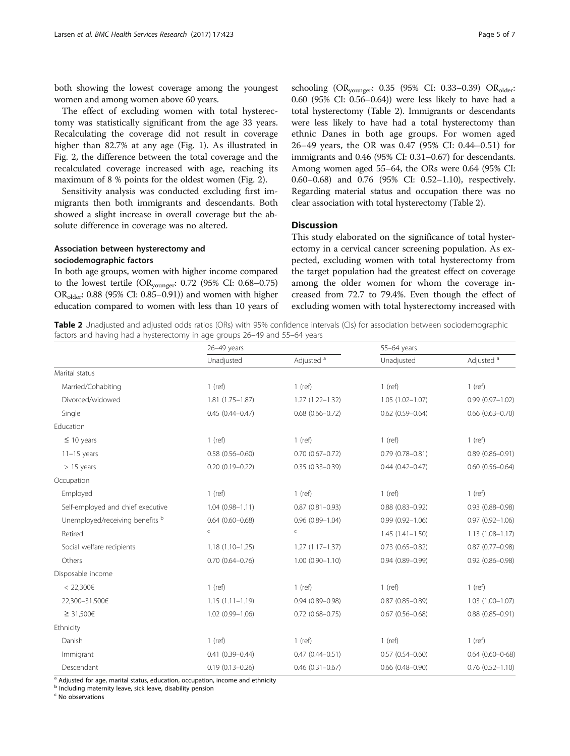both showing the lowest coverage among the youngest women and among women above 60 years.

The effect of excluding women with total hysterectomy was statistically significant from the age 33 years. Recalculating the coverage did not result in coverage higher than 82.7% at any age (Fig. [1\)](#page-3-0). As illustrated in Fig. [2,](#page-3-0) the difference between the total coverage and the recalculated coverage increased with age, reaching its maximum of 8 % points for the oldest women (Fig. [2](#page-3-0)).

Sensitivity analysis was conducted excluding first immigrants then both immigrants and descendants. Both showed a slight increase in overall coverage but the absolute difference in coverage was no altered.

## Association between hysterectomy and sociodemographic factors

In both age groups, women with higher income compared to the lowest tertile (ORyounger: 0.72 (95% CI: 0.68–0.75)  $OR_{\text{older}}$ : 0.88 (95% CI: 0.85–0.91)) and women with higher education compared to women with less than 10 years of

schooling (OR<sub>younger</sub>: 0.35 (95% CI: 0.33-0.39) OR<sub>older</sub>: 0.60 (95% CI: 0.56–0.64)) were less likely to have had a total hysterectomy (Table 2). Immigrants or descendants were less likely to have had a total hysterectomy than ethnic Danes in both age groups. For women aged 26–49 years, the OR was 0.47 (95% CI: 0.44–0.51) for immigrants and 0.46 (95% CI: 0.31–0.67) for descendants. Among women aged 55–64, the ORs were 0.64 (95% CI: 0.60–0.68) and 0.76 (95% CI: 0.52–1.10), respectively. Regarding material status and occupation there was no clear association with total hysterectomy (Table 2).

## **Discussion**

This study elaborated on the significance of total hysterectomy in a cervical cancer screening population. As expected, excluding women with total hysterectomy from the target population had the greatest effect on coverage among the older women for whom the coverage increased from 72.7 to 79.4%. Even though the effect of excluding women with total hysterectomy increased with

Table 2 Unadjusted and adjusted odds ratios (ORs) with 95% confidence intervals (CIs) for association between sociodemographic factors and having had a hysterectomy in age groups 26–49 and 55–64 years

|                                   | 26-49 years            |                       | 55-64 years            |                        |
|-----------------------------------|------------------------|-----------------------|------------------------|------------------------|
|                                   | Unadjusted             | Adjusted <sup>a</sup> | Unadjusted             | Adjusted <sup>a</sup>  |
| Marital status                    |                        |                       |                        |                        |
| Married/Cohabiting                | $1$ (ref)              | $1$ (ref)             | $1$ (ref)              | $1$ (ref)              |
| Divorced/widowed                  | $1.81(1.75 - 1.87)$    | $1.27(1.22 - 1.32)$   | $1.05(1.02 - 1.07)$    | $0.99(0.97 - 1.02)$    |
| Single                            | $0.45(0.44 - 0.47)$    | $0.68(0.66 - 0.72)$   | $0.62$ (0.59-0.64)     | $0.66$ $(0.63 - 0.70)$ |
| Education                         |                        |                       |                        |                        |
| $\leq 10$ years                   | $1$ (ref)              | $1$ (ref)             | $1$ (ref)              | $1$ (ref)              |
| $11-15$ years                     | $0.58(0.56 - 0.60)$    | $0.70(0.67 - 0.72)$   | $0.79(0.78 - 0.81)$    | $0.89(0.86 - 0.91)$    |
| $> 15$ years                      | $0.20(0.19 - 0.22)$    | $0.35(0.33 - 0.39)$   | $0.44(0.42 - 0.47)$    | $0.60$ $(0.56 - 0.64)$ |
| Occupation                        |                        |                       |                        |                        |
| Employed                          | $1$ (ref)              | $1$ (ref)             | $1$ (ref)              | $1$ (ref)              |
| Self-employed and chief executive | $1.04(0.98 - 1.11)$    | $0.87(0.81 - 0.93)$   | $0.88(0.83 - 0.92)$    | $0.93(0.88 - 0.98)$    |
| Unemployed/receiving benefits b   | $0.64$ $(0.60 - 0.68)$ | $0.96(0.89 - 1.04)$   | $0.99(0.92 - 1.06)$    | $0.97(0.92 - 1.06)$    |
| Retired                           | $\subset$              | $\subset$             | $1.45(1.41 - 1.50)$    | $1.13(1.08 - 1.17)$    |
| Social welfare recipients         | $1.18(1.10 - 1.25)$    | $1.27(1.17 - 1.37)$   | $0.73(0.65 - 0.82)$    | $0.87(0.77 - 0.98)$    |
| Others                            | $0.70(0.64 - 0.76)$    | $1.00(0.90 - 1.10)$   | $0.94(0.89 - 0.99)$    | $0.92$ $(0.86 - 0.98)$ |
| Disposable income                 |                        |                       |                        |                        |
| < 22,300€                         | $1$ (ref)              | $1$ (ref)             | $1$ (ref)              | $1$ (ref)              |
| 22,300-31,500€                    | $1.15(1.11 - 1.19)$    | $0.94(0.89 - 0.98)$   | $0.87(0.85 - 0.89)$    | $1.03(1.00 - 1.07)$    |
| ≥ 31,500€                         | $1.02(0.99 - 1.06)$    | $0.72$ (0.68-0.75)    | $0.67(0.56 - 0.68)$    | $0.88(0.85 - 0.91)$    |
| Ethnicity                         |                        |                       |                        |                        |
| Danish                            | $1$ (ref)              | $1$ (ref)             | $1$ (ref)              | $1$ (ref)              |
| Immigrant                         | $0.41(0.39 - 0.44)$    | $0.47(0.44 - 0.51)$   | $0.57(0.54 - 0.60)$    | $0.64(0.60 - 0.68)$    |
| Descendant                        | $0.19(0.13 - 0.26)$    | $0.46(0.31 - 0.67)$   | $0.66$ $(0.48 - 0.90)$ | $0.76$ $(0.52 - 1.10)$ |

<sup>a</sup> Adjusted for age, marital status, education, occupation, income and ethnicity

<sup>b</sup> Including maternity leave, sick leave, disability pension

<sup>c</sup> No observations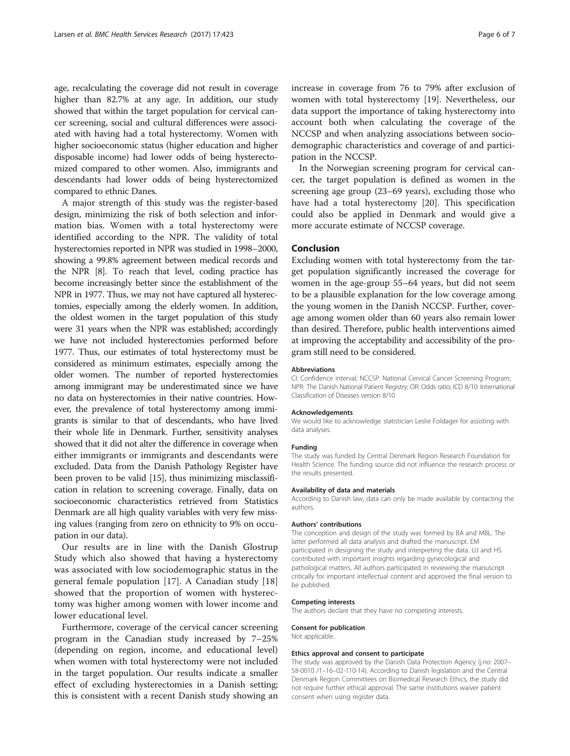age, recalculating the coverage did not result in coverage higher than 82.7% at any age. In addition, our study showed that within the target population for cervical cancer screening, social and cultural differences were associated with having had a total hysterectomy. Women with higher socioeconomic status (higher education and higher disposable income) had lower odds of being hysterectomized compared to other women. Also, immigrants and descendants had lower odds of being hysterectomized compared to ethnic Danes.

A major strength of this study was the register-based design, minimizing the risk of both selection and information bias. Women with a total hysterectomy were identified according to the NPR. The validity of total hysterectomies reported in NPR was studied in 1998–2000, showing a 99.8% agreement between medical records and the NPR [\[8\]](#page-6-0). To reach that level, coding practice has become increasingly better since the establishment of the NPR in 1977. Thus, we may not have captured all hysterectomies, especially among the elderly women. In addition, the oldest women in the target population of this study were 31 years when the NPR was established; accordingly we have not included hysterectomies performed before 1977. Thus, our estimates of total hysterectomy must be considered as minimum estimates, especially among the older women. The number of reported hysterectomies among immigrant may be underestimated since we have no data on hysterectomies in their native countries. However, the prevalence of total hysterectomy among immigrants is similar to that of descendants, who have lived their whole life in Denmark. Further, sensitivity analyses showed that it did not alter the difference in coverage when either immigrants or immigrants and descendants were excluded. Data from the Danish Pathology Register have been proven to be valid [\[15\]](#page-6-0), thus minimizing misclassification in relation to screening coverage. Finally, data on socioeconomic characteristics retrieved from Statistics Denmark are all high quality variables with very few missing values (ranging from zero on ethnicity to 9% on occupation in our data).

Our results are in line with the Danish Glostrup Study which also showed that having a hysterectomy was associated with low sociodemographic status in the general female population [\[17](#page-6-0)]. A Canadian study [\[18](#page-6-0)] showed that the proportion of women with hysterectomy was higher among women with lower income and lower educational level.

Furthermore, coverage of the cervical cancer screening program in the Canadian study increased by 7–25% (depending on region, income, and educational level) when women with total hysterectomy were not included in the target population. Our results indicate a smaller effect of excluding hysterectomies in a Danish setting; this is consistent with a recent Danish study showing an increase in coverage from 76 to 79% after exclusion of women with total hysterectomy [\[19](#page-6-0)]. Nevertheless, our data support the importance of taking hysterectomy into account both when calculating the coverage of the NCCSP and when analyzing associations between sociodemographic characteristics and coverage of and participation in the NCCSP.

In the Norwegian screening program for cervical cancer, the target population is defined as women in the screening age group (23–69 years), excluding those who have had a total hysterectomy [\[20\]](#page-6-0). This specification could also be applied in Denmark and would give a more accurate estimate of NCCSP coverage.

## Conclusion

Excluding women with total hysterectomy from the target population significantly increased the coverage for women in the age-group 55–64 years, but did not seem to be a plausible explanation for the low coverage among the young women in the Danish NCCSP. Further, coverage among women older than 60 years also remain lower than desired. Therefore, public health interventions aimed at improving the acceptability and accessibility of the program still need to be considered.

#### Abbreviations

CI: Confidence interval; NCCSP: National Cervical Cancer Screening Program; NPR: The Danish National Patient Registry; OR: Odds ratio; ICD 8/10: International Classification of Diseases version 8/10

#### Acknowledgements

We would like to acknowledge statistician Leslie Foldager for assisting with data analyses.

#### Funding

The study was funded by Central Denmark Region Research Foundation for Health Science. The funding source did not influence the research process or the results presented.

#### Availability of data and materials

According to Danish law, data can only be made available by contacting the authors.

#### Authors' contributions

The conception and design of the study was formed by BA and MBL. The latter performed all data analysis and drafted the manuscript. EM participated in designing the study and interpreting the data. UJ and HS contributed with important insights regarding gynecological and pathological matters. All authors participated in reviewing the manuscript critically for important intellectual content and approved the final version to be published.

#### Competing interests

The authors declare that they have no competing interests.

Consent for publication Not applicable.

## Ethics approval and consent to participate

The study was approved by the Danish Data Protection Agency (j.no: 2007– 58-0010 /1–16–02-110-14). According to Danish legislation and the Central Denmark Region Committees on Biomedical Research Ethics, the study did not require further ethical approval. The same institutions waiver patient consent when using register data.